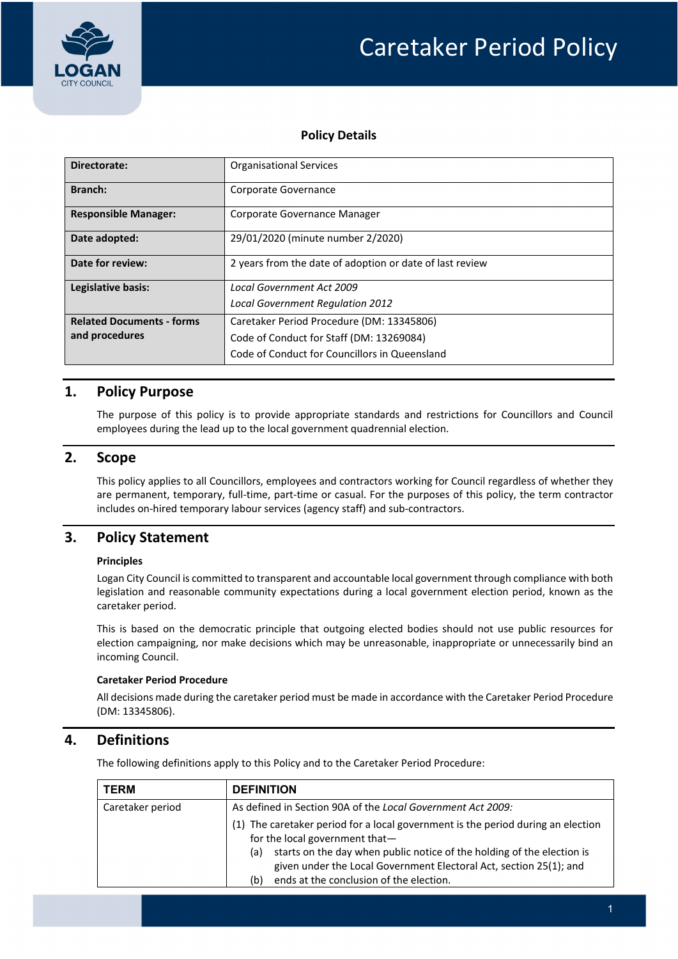

# Caretaker Period Policy

## **Policy Details**

| Directorate:                     | <b>Organisational Services</b>                           |  |  |
|----------------------------------|----------------------------------------------------------|--|--|
| Branch:                          | Corporate Governance                                     |  |  |
| <b>Responsible Manager:</b>      | Corporate Governance Manager                             |  |  |
| Date adopted:                    | 29/01/2020 (minute number 2/2020)                        |  |  |
| Date for review:                 | 2 years from the date of adoption or date of last review |  |  |
| Legislative basis:               | <b>Local Government Act 2009</b>                         |  |  |
|                                  | <b>Local Government Regulation 2012</b>                  |  |  |
| <b>Related Documents - forms</b> | Caretaker Period Procedure (DM: 13345806)                |  |  |
| and procedures                   | Code of Conduct for Staff (DM: 13269084)                 |  |  |
|                                  | Code of Conduct for Councillors in Queensland            |  |  |

## **1. Policy Purpose**

The purpose of this policy is to provide appropriate standards and restrictions for Councillors and Council employees during the lead up to the local government quadrennial election.

## **2. Scope**

This policy applies to all Councillors, employees and contractors working for Council regardless of whether they are permanent, temporary, full‐time, part‐time or casual. For the purposes of this policy, the term contractor includes on-hired temporary labour services (agency staff) and sub-contractors.

# **3. Policy Statement**

### **Principles**

Logan City Council is committed to transparent and accountable local government through compliance with both legislation and reasonable community expectations during a local government election period, known as the caretaker period.

This is based on the democratic principle that outgoing elected bodies should not use public resources for election campaigning, nor make decisions which may be unreasonable, inappropriate or unnecessarily bind an incoming Council.

### **Caretaker Period Procedure**

All decisions made during the caretaker period must be made in accordance with the Caretaker Period Procedure (DM: 13345806).

# **4. Definitions**

The following definitions apply to this Policy and to the Caretaker Period Procedure:

| <b>TERM</b>      | <b>DEFINITION</b>                                                                                                                                                                                                                                                                                                           |  |  |
|------------------|-----------------------------------------------------------------------------------------------------------------------------------------------------------------------------------------------------------------------------------------------------------------------------------------------------------------------------|--|--|
| Caretaker period | As defined in Section 90A of the Local Government Act 2009:                                                                                                                                                                                                                                                                 |  |  |
|                  | (1) The caretaker period for a local government is the period during an election<br>for the local government that-<br>starts on the day when public notice of the holding of the election is<br>(a)<br>given under the Local Government Electoral Act, section 25(1); and<br>ends at the conclusion of the election.<br>(b) |  |  |